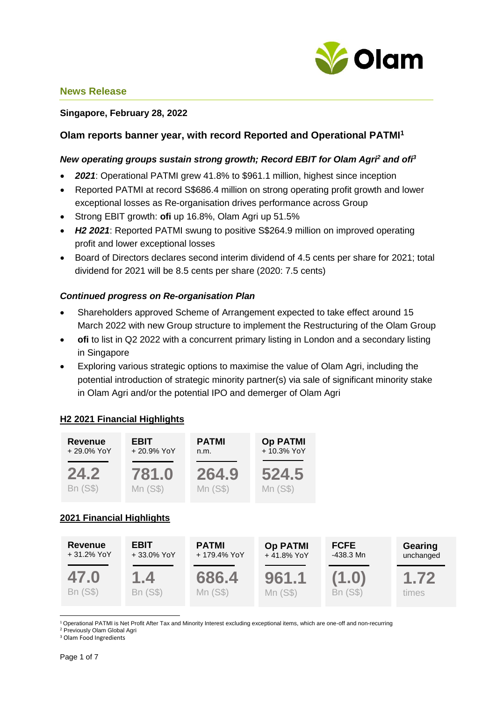

#### **Singapore, February 28, 2022**

# **Olam reports banner year, with record Reported and Operational PATMI<sup>1</sup>**

#### *New operating groups sustain strong growth; Record EBIT for Olam Agri<sup>2</sup> and ofi<sup>3</sup>*

- *2021*: Operational PATMI grew 41.8% to \$961.1 million, highest since inception
- Reported PATMI at record S\$686.4 million on strong operating profit growth and lower exceptional losses as Re-organisation drives performance across Group
- Strong EBIT growth: **ofi** up 16.8%, Olam Agri up 51.5%
- *H2 2021*: Reported PATMI swung to positive S\$264.9 million on improved operating profit and lower exceptional losses
- Board of Directors declares second interim dividend of 4.5 cents per share for 2021; total dividend for 2021 will be 8.5 cents per share (2020: 7.5 cents)

### *Continued progress on Re-organisation Plan*

- Shareholders approved Scheme of Arrangement expected to take effect around 15 March 2022 with new Group structure to implement the Restructuring of the Olam Group
- **ofi** to list in Q2 2022 with a concurrent primary listing in London and a secondary listing in Singapore
- Exploring various strategic options to maximise the value of Olam Agri, including the potential introduction of strategic minority partner(s) via sale of significant minority stake in Olam Agri and/or the potential IPO and demerger of Olam Agri

### **H2 2021 Financial Highlights**



1 <sup>1</sup> Operational PATMI is Net Profit After Tax and Minority Interest excluding exceptional items, which are one-off and non-recurring

Mn (S\$)

Mn (S\$)

Bn (S\$)

times

<sup>2</sup> Previously Olam Global Agri

Bn (S\$)

<sup>3</sup> Olam Food Ingredients

Bn (S\$)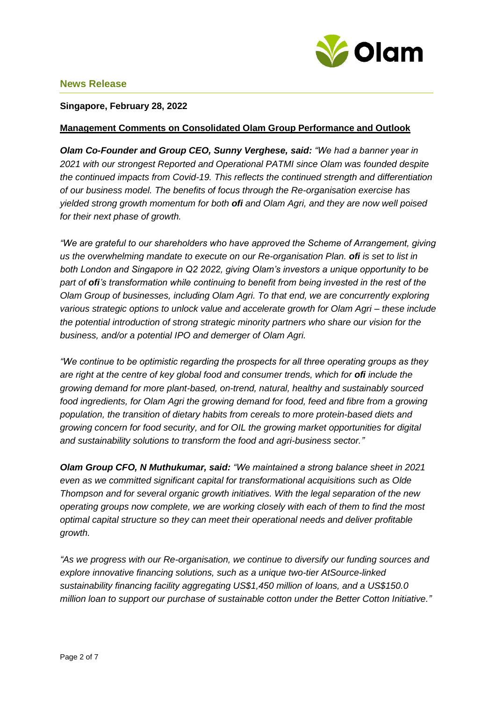

#### **Singapore, February 28, 2022**

#### **Management Comments on Consolidated Olam Group Performance and Outlook**

*Olam Co-Founder and Group CEO, Sunny Verghese, said: "We had a banner year in 2021 with our strongest Reported and Operational PATMI since Olam was founded despite the continued impacts from Covid-19. This reflects the continued strength and differentiation of our business model. The benefits of focus through the Re-organisation exercise has yielded strong growth momentum for both ofi and Olam Agri, and they are now well poised for their next phase of growth.*

*"We are grateful to our shareholders who have approved the Scheme of Arrangement, giving us the overwhelming mandate to execute on our Re-organisation Plan. ofi is set to list in both London and Singapore in Q2 2022, giving Olam's investors a unique opportunity to be part of ofi's transformation while continuing to benefit from being invested in the rest of the Olam Group of businesses, including Olam Agri. To that end, we are concurrently exploring various strategic options to unlock value and accelerate growth for Olam Agri – these include the potential introduction of strong strategic minority partners who share our vision for the business, and/or a potential IPO and demerger of Olam Agri.*

*"We continue to be optimistic regarding the prospects for all three operating groups as they are right at the centre of key global food and consumer trends, which for ofi include the growing demand for more plant-based, on-trend, natural, healthy and sustainably sourced food ingredients, for Olam Agri the growing demand for food, feed and fibre from a growing population, the transition of dietary habits from cereals to more protein-based diets and growing concern for food security, and for OIL the growing market opportunities for digital and sustainability solutions to transform the food and agri-business sector."* 

*Olam Group CFO, N Muthukumar, said: "We maintained a strong balance sheet in 2021 even as we committed significant capital for transformational acquisitions such as Olde Thompson and for several organic growth initiatives. With the legal separation of the new operating groups now complete, we are working closely with each of them to find the most optimal capital structure so they can meet their operational needs and deliver profitable growth.* 

*"As we progress with our Re-organisation, we continue to diversify our funding sources and explore innovative financing solutions, such as a unique two-tier AtSource-linked sustainability financing facility aggregating US\$1,450 million of loans, and a US\$150.0 million loan to support our purchase of sustainable cotton under the Better Cotton Initiative."*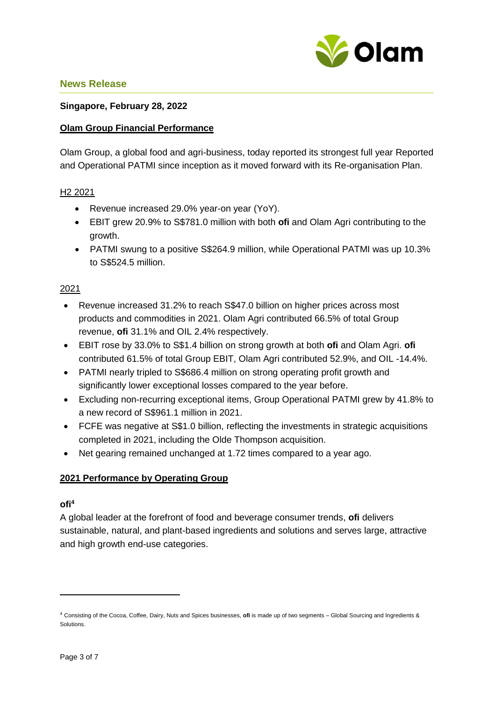

### **Singapore, February 28, 2022**

#### **Olam Group Financial Performance**

Olam Group, a global food and agri-business, today reported its strongest full year Reported and Operational PATMI since inception as it moved forward with its Re-organisation Plan.

#### H2 2021

- Revenue increased 29.0% year-on year (YoY).
- EBIT grew 20.9% to S\$781.0 million with both **ofi** and Olam Agri contributing to the growth.
- PATMI swung to a positive S\$264.9 million, while Operational PATMI was up 10.3% to S\$524.5 million.

#### 2021

- Revenue increased 31.2% to reach S\$47.0 billion on higher prices across most products and commodities in 2021. Olam Agri contributed 66.5% of total Group revenue, **ofi** 31.1% and OIL 2.4% respectively.
- EBIT rose by 33.0% to S\$1.4 billion on strong growth at both **ofi** and Olam Agri. **ofi** contributed 61.5% of total Group EBIT, Olam Agri contributed 52.9%, and OIL -14.4%.
- PATMI nearly tripled to S\$686.4 million on strong operating profit growth and significantly lower exceptional losses compared to the year before.
- Excluding non-recurring exceptional items, Group Operational PATMI grew by 41.8% to a new record of S\$961.1 million in 2021.
- FCFE was negative at S\$1.0 billion, reflecting the investments in strategic acquisitions completed in 2021, including the Olde Thompson acquisition.
- Net gearing remained unchanged at 1.72 times compared to a year ago.

### **2021 Performance by Operating Group**

## **ofi<sup>4</sup>**

**.** 

A global leader at the forefront of food and beverage consumer trends, **ofi** delivers sustainable, natural, and plant-based ingredients and solutions and serves large, attractive and high growth end-use categories.

<sup>4</sup> Consisting of the Cocoa, Coffee, Dairy, Nuts and Spices businesses, **ofi** is made up of two segments – Global Sourcing and Ingredients & Solutions.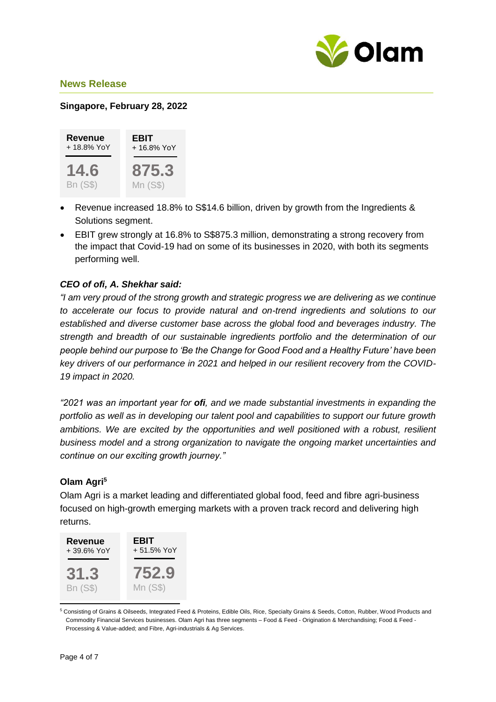

# **Singapore, February 28, 2022**



- Revenue increased 18.8% to S\$14.6 billion, driven by growth from the Ingredients & Solutions segment.
- EBIT grew strongly at 16.8% to S\$875.3 million, demonstrating a strong recovery from the impact that Covid-19 had on some of its businesses in 2020, with both its segments performing well.

# *CEO of ofi, A. Shekhar said:*

*"I am very proud of the strong growth and strategic progress we are delivering as we continue to accelerate our focus to provide natural and on-trend ingredients and solutions to our established and diverse customer base across the global food and beverages industry. The strength and breadth of our sustainable ingredients portfolio and the determination of our people behind our purpose to 'Be the Change for Good Food and a Healthy Future' have been key drivers of our performance in 2021 and helped in our resilient recovery from the COVID-19 impact in 2020.* 

*"2021 was an important year for ofi, and we made substantial investments in expanding the portfolio as well as in developing our talent pool and capabilities to support our future growth ambitions. We are excited by the opportunities and well positioned with a robust, resilient business model and a strong organization to navigate the ongoing market uncertainties and continue on our exciting growth journey."*

# **Olam Agri<sup>5</sup>**

Olam Agri is a market leading and differentiated global food, feed and fibre agri-business focused on high-growth emerging markets with a proven track record and delivering high returns.



<sup>5</sup> Consisting of Grains & Oilseeds, Integrated Feed & Proteins, Edible Oils, Rice, Specialty Grains & Seeds, Cotton, Rubber, Wood Products and Commodity Financial Services businesses. Olam Agri has three segments – Food & Feed - Origination & Merchandising; Food & Feed - Processing & Value-added; and Fibre, Agri-industrials & Ag Services.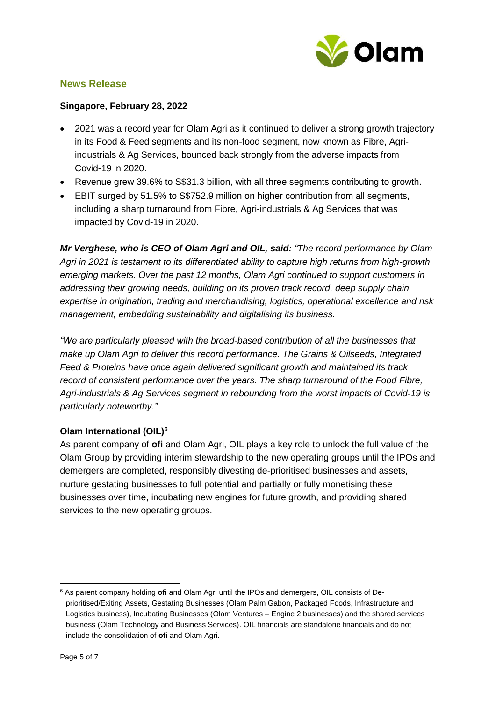

## **Singapore, February 28, 2022**

- 2021 was a record year for Olam Agri as it continued to deliver a strong growth trajectory in its Food & Feed segments and its non-food segment, now known as Fibre, Agriindustrials & Ag Services, bounced back strongly from the adverse impacts from Covid-19 in 2020.
- Revenue grew 39.6% to S\$31.3 billion, with all three segments contributing to growth.
- EBIT surged by 51.5% to S\$752.9 million on higher contribution from all segments, including a sharp turnaround from Fibre, Agri-industrials & Ag Services that was impacted by Covid-19 in 2020.

*Mr Verghese, who is CEO of Olam Agri and OIL, said: "The record performance by Olam Agri in 2021 is testament to its differentiated ability to capture high returns from high-growth emerging markets. Over the past 12 months, Olam Agri continued to support customers in addressing their growing needs, building on its proven track record, deep supply chain expertise in origination, trading and merchandising, logistics, operational excellence and risk management, embedding sustainability and digitalising its business.* 

*"We are particularly pleased with the broad-based contribution of all the businesses that make up Olam Agri to deliver this record performance. The Grains & Oilseeds, Integrated Feed & Proteins have once again delivered significant growth and maintained its track record of consistent performance over the years. The sharp turnaround of the Food Fibre, Agri-industrials & Ag Services segment in rebounding from the worst impacts of Covid-19 is particularly noteworthy."*

# **Olam International (OIL)<sup>6</sup>**

As parent company of **ofi** and Olam Agri, OIL plays a key role to unlock the full value of the Olam Group by providing interim stewardship to the new operating groups until the IPOs and demergers are completed, responsibly divesting de-prioritised businesses and assets, nurture gestating businesses to full potential and partially or fully monetising these businesses over time, incubating new engines for future growth, and providing shared services to the new operating groups.

<sup>1</sup> <sup>6</sup> As parent company holding **ofi** and Olam Agri until the IPOs and demergers, OIL consists of Deprioritised/Exiting Assets, Gestating Businesses (Olam Palm Gabon, Packaged Foods, Infrastructure and Logistics business), Incubating Businesses (Olam Ventures – Engine 2 businesses) and the shared services business (Olam Technology and Business Services). OIL financials are standalone financials and do not include the consolidation of **ofi** and Olam Agri.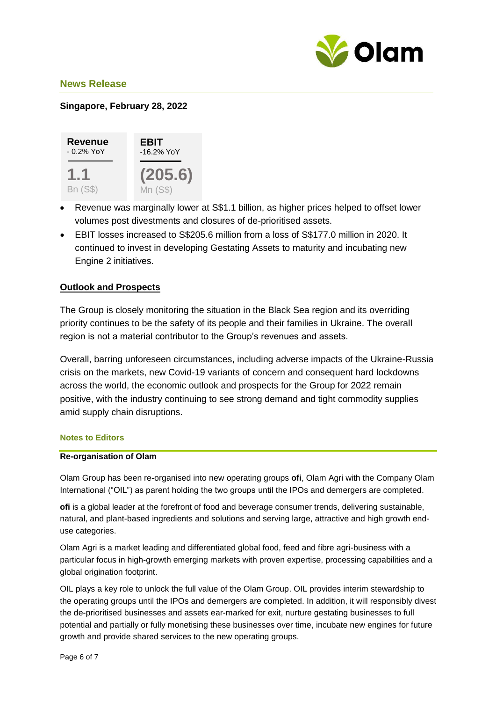

## **Singapore, February 28, 2022**



- Revenue was marginally lower at S\$1.1 billion, as higher prices helped to offset lower volumes post divestments and closures of de-prioritised assets.
- EBIT losses increased to S\$205.6 million from a loss of S\$177.0 million in 2020. It continued to invest in developing Gestating Assets to maturity and incubating new Engine 2 initiatives.

# **Outlook and Prospects**

The Group is closely monitoring the situation in the Black Sea region and its overriding priority continues to be the safety of its people and their families in Ukraine. The overall region is not a material contributor to the Group's revenues and assets.

Overall, barring unforeseen circumstances, including adverse impacts of the Ukraine-Russia crisis on the markets, new Covid-19 variants of concern and consequent hard lockdowns across the world, the economic outlook and prospects for the Group for 2022 remain positive, with the industry continuing to see strong demand and tight commodity supplies amid supply chain disruptions.

#### **Notes to Editors**

#### **Re-organisation of Olam**

Olam Group has been re-organised into new operating groups **ofi**, Olam Agri with the Company Olam International ("OIL") as parent holding the two groups until the IPOs and demergers are completed.

**ofi** is a global leader at the forefront of food and beverage consumer trends, delivering sustainable, natural, and plant-based ingredients and solutions and serving large, attractive and high growth enduse categories.

Olam Agri is a market leading and differentiated global food, feed and fibre agri-business with a particular focus in high-growth emerging markets with proven expertise, processing capabilities and a global origination footprint.

OIL plays a key role to unlock the full value of the Olam Group. OIL provides interim stewardship to the operating groups until the IPOs and demergers are completed. In addition, it will responsibly divest the de-prioritised businesses and assets ear-marked for exit, nurture gestating businesses to full potential and partially or fully monetising these businesses over time, incubate new engines for future growth and provide shared services to the new operating groups.